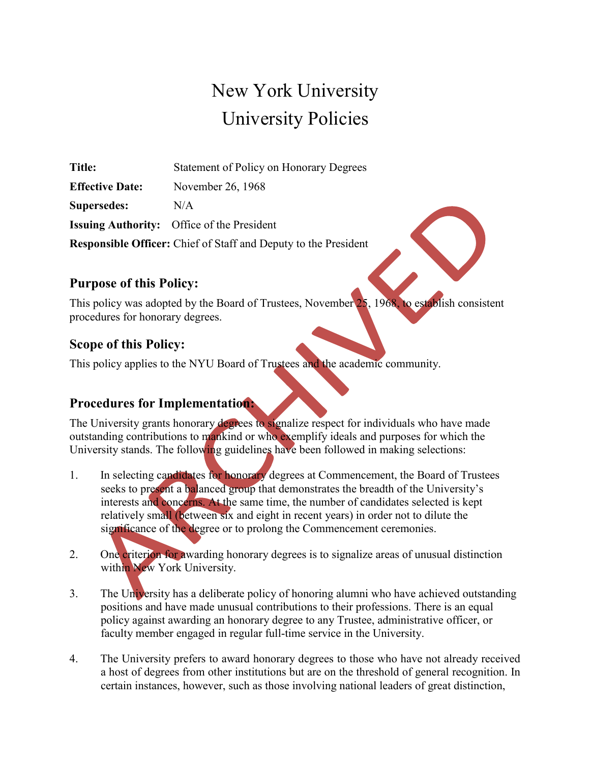# New York University University Policies

**Title:** Statement of Policy on Honorary Degrees **Effective Date:** November 26, 1968 **Supersedes:** N/A **Issuing Authority:** Office of the President **Responsible Officer:** Chief of Staff and Deputy to the President

### **Purpose of this Policy:**

This policy was adopted by the Board of Trustees, November 25, 1968, to establish consistent procedures for honorary degrees.

### **Scope of this Policy:**

This policy applies to the NYU Board of Trustees and the academic community.

## **Procedures for Implementation:**

The University grants honorary degrees to signalize respect for individuals who have made outstanding contributions to mankind or who exemplify ideals and purposes for which the University stands. The following guidelines have been followed in making selections:

- 1. In selecting candidates for honorary degrees at Commencement, the Board of Trustees seeks to present a balanced group that demonstrates the breadth of the University's interests and concerns. At the same time, the number of candidates selected is kept relatively small (between six and eight in recent years) in order not to dilute the significance of the degree or to prolong the Commencement ceremonies.
- 2. One criterion for awarding honorary degrees is to signalize areas of unusual distinction within New York University.
- 3. The University has a deliberate policy of honoring alumni who have achieved outstanding positions and have made unusual contributions to their professions. There is an equal policy against awarding an honorary degree to any Trustee, administrative officer, or faculty member engaged in regular full-time service in the University.
- 4. The University prefers to award honorary degrees to those who have not already received a host of degrees from other institutions but are on the threshold of general recognition. In certain instances, however, such as those involving national leaders of great distinction,